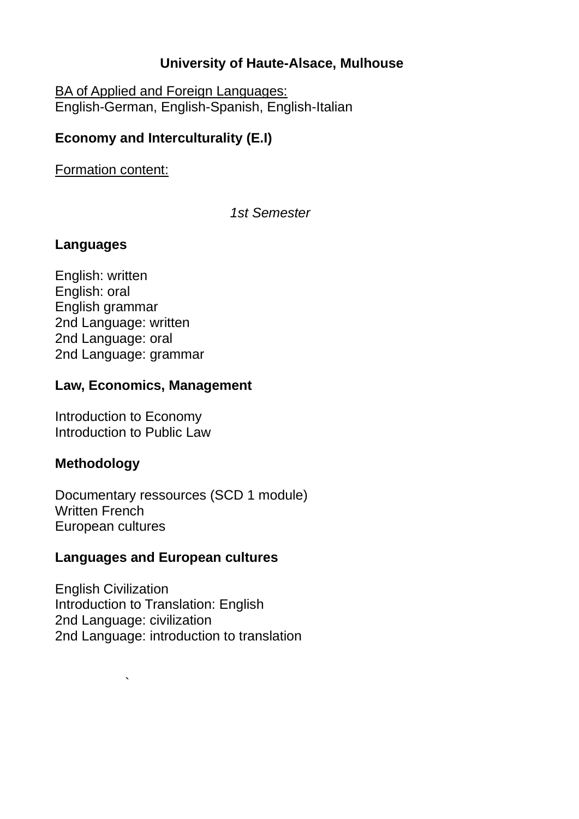# **University of Haute-Alsace, Mulhouse**

BA of Applied and Foreign Languages: English-German, English-Spanish, English-Italian

# **Economy and Interculturality (E.I)**

Formation content:

*1st Semester*

# **Languages**

English: written English: oral English grammar 2nd Language: written 2nd Language: oral 2nd Language: grammar

# **Law, Economics, Management**

Introduction to Economy Introduction to Public Law

 $\overline{\phantom{a}}$ 

# **Methodology**

Documentary ressources (SCD 1 module) Written French European cultures

# **Languages and European cultures**

English Civilization Introduction to Translation: English 2nd Language: civilization 2nd Language: introduction to translation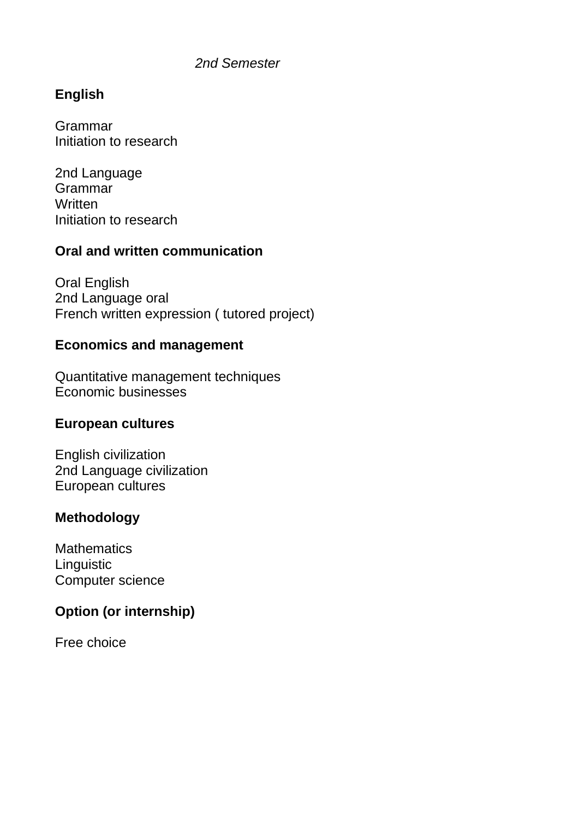#### *2nd Semester*

# **English**

Grammar Initiation to research

2nd Language Grammar **Written** Initiation to research

# **Oral and written communication**

Oral English 2nd Language oral French written expression ( tutored project)

#### **Economics and management**

Quantitative management techniques Economic businesses

#### **European cultures**

English civilization 2nd Language civilization European cultures

# **Methodology**

**Mathematics Linguistic** Computer science

# **Option (or internship)**

Free choice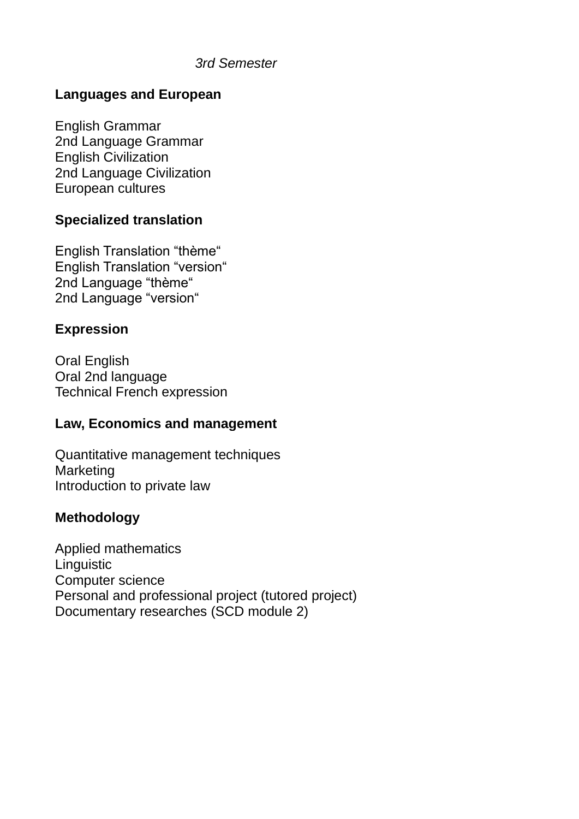#### *3rd Semester*

### **Languages and European**

English Grammar 2nd Language Grammar English Civilization 2nd Language Civilization European cultures

### **Specialized translation**

English Translation "thème" English Translation "version" 2nd Language "thème" 2nd Language "version"

### **Expression**

Oral English Oral 2nd language Technical French expression

#### **Law, Economics and management**

Quantitative management techniques **Marketing** Introduction to private law

# **Methodology**

Applied mathematics **Linguistic** Computer science Personal and professional project (tutored project) Documentary researches (SCD module 2)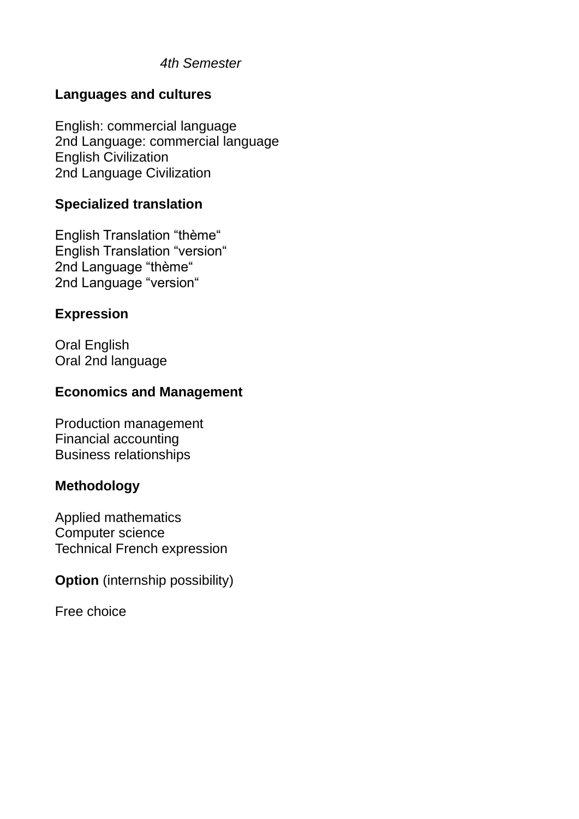# **Languages and cultures**

English: commercial language 2nd Language: commercial language English Civilization 2nd Language Civilization

### **Specialized translation**

English Translation "thème" English Translation "version" 2nd Language "thème" 2nd Language "version"

### **Expression**

Oral English Oral 2nd language

# **Economics and Management**

Production management Financial accounting Business relationships

# **Methodology**

Applied mathematics Computer science Technical French expression

**Option** (internship possibility)

Free choice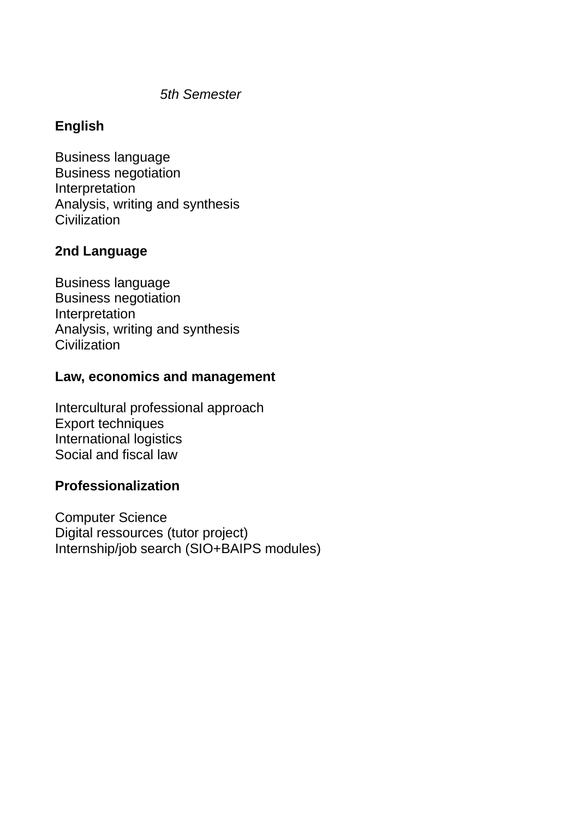# **English**

Business language Business negotiation **Interpretation** Analysis, writing and synthesis **Civilization** 

# **2nd Language**

Business language Business negotiation **Interpretation** Analysis, writing and synthesis **Civilization** 

#### **Law, economics and management**

Intercultural professional approach Export techniques International logistics Social and fiscal law

# **Professionalization**

Computer Science Digital ressources (tutor project) Internship/job search (SIO+BAIPS modules)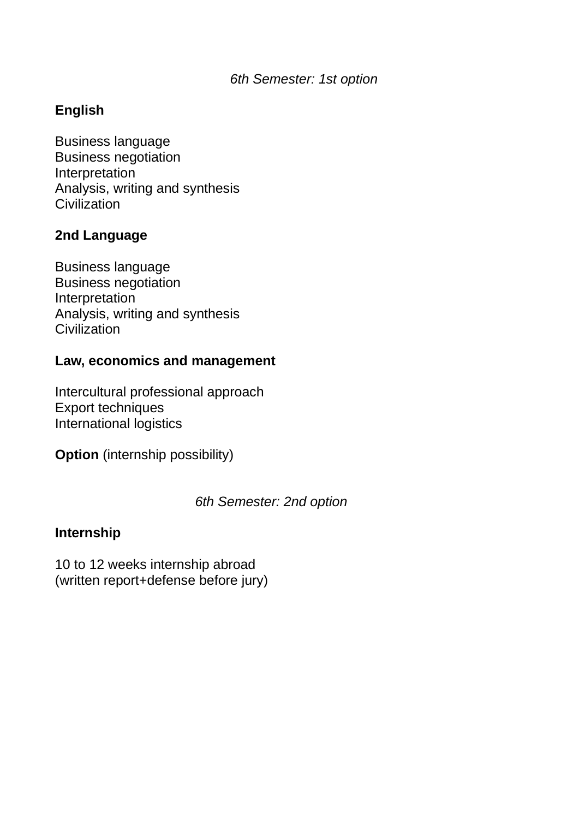# **English**

Business language Business negotiation Interpretation Analysis, writing and synthesis **Civilization** 

# **2nd Language**

Business language Business negotiation **Interpretation** Analysis, writing and synthesis **Civilization** 

### **Law, economics and management**

Intercultural professional approach Export techniques International logistics

**Option** (internship possibility)

#### *6th Semester: 2nd option*

#### **Internship**

10 to 12 weeks internship abroad (written report+defense before jury)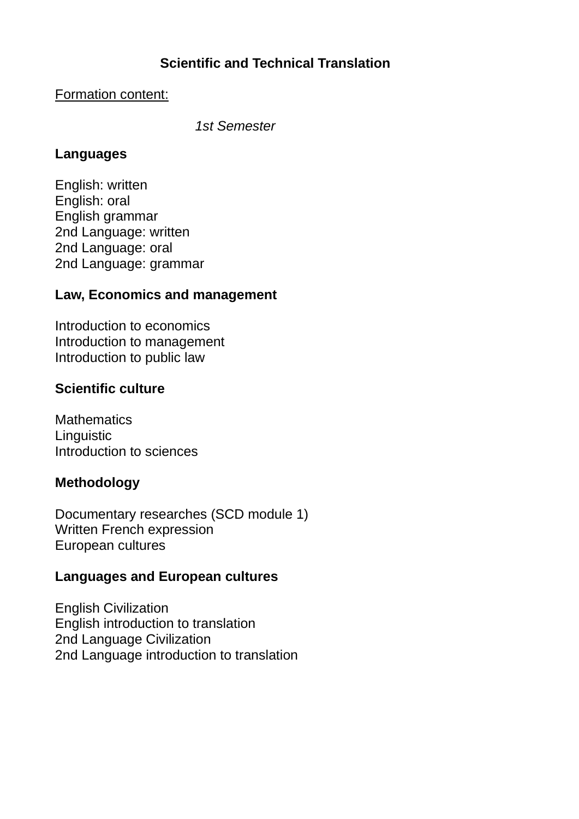# **Scientific and Technical Translation**

#### Formation content:

*1st Semester*

### **Languages**

English: written English: oral English grammar 2nd Language: written 2nd Language: oral 2nd Language: grammar

# **Law, Economics and management**

Introduction to economics Introduction to management Introduction to public law

# **Scientific culture**

**Mathematics Linguistic** Introduction to sciences

# **Methodology**

Documentary researches (SCD module 1) Written French expression European cultures

# **Languages and European cultures**

English Civilization English introduction to translation 2nd Language Civilization 2nd Language introduction to translation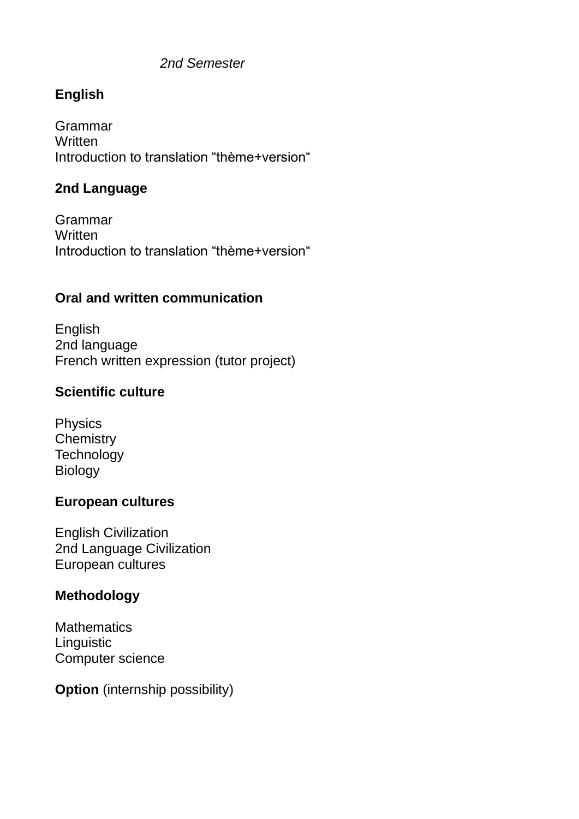# *2nd Semester*

# **English**

Grammar **Written** Introduction to translation "thème+version"

### **2nd Language**

Grammar **Written** Introduction to translation "thème+version"

# **Oral and written communication**

English 2nd language French written expression (tutor project)

# **Scientific culture**

Physics **Chemistry Technology** Biology

#### **European cultures**

English Civilization 2nd Language Civilization European cultures

# **Methodology**

**Mathematics Linguistic** Computer science

**Option** (internship possibility)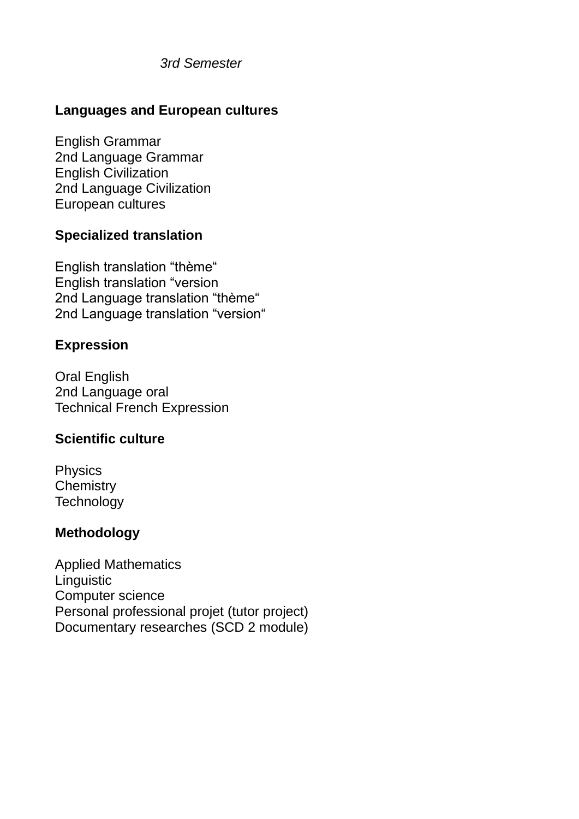*3rd Semester*

# **Languages and European cultures**

English Grammar 2nd Language Grammar English Civilization 2nd Language Civilization European cultures

# **Specialized translation**

English translation "thème" English translation "version 2nd Language translation "thème" 2nd Language translation "version"

### **Expression**

Oral English 2nd Language oral Technical French Expression

# **Scientific culture**

Physics **Chemistry Technology** 

#### **Methodology**

Applied Mathematics **Linguistic** Computer science Personal professional projet (tutor project) Documentary researches (SCD 2 module)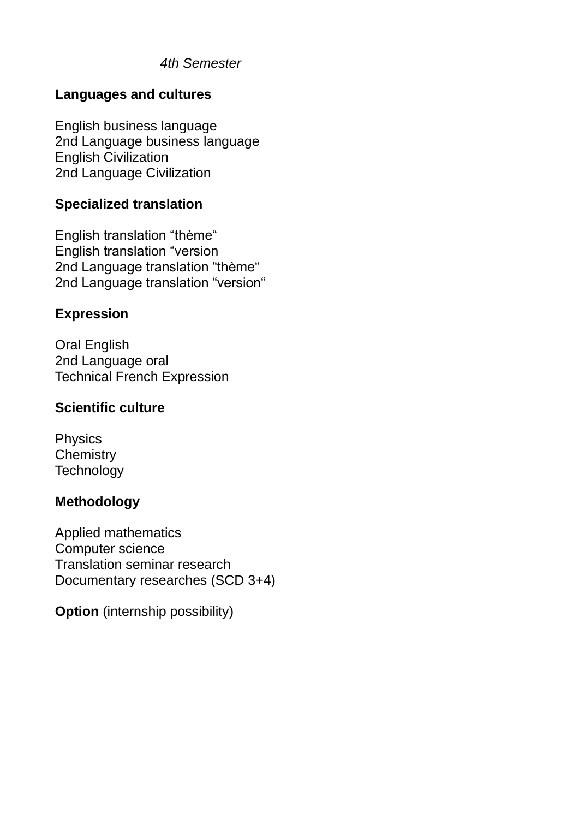# **Languages and cultures**

English business language 2nd Language business language English Civilization 2nd Language Civilization

# **Specialized translation**

English translation "thème" English translation "version 2nd Language translation "thème" 2nd Language translation "version"

# **Expression**

Oral English 2nd Language oral Technical French Expression

### **Scientific culture**

Physics **Chemistry Technology** 

# **Methodology**

Applied mathematics Computer science Translation seminar research Documentary researches (SCD 3+4)

**Option** (internship possibility)